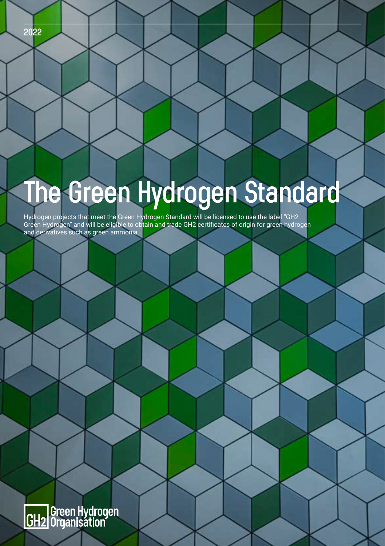#### **2022**

# **The Green Hydrogen Standard**

Hydrogen projects that meet the Green Hydrogen Standard will be licensed to use the label "GH2 Green Hydrogen" and will be eligible to obtain and trade GH2 certificates of origin for green hydrogen and derivatives such as green ammonia.

GH2 Green Hydrogen<br>CH2 Organisation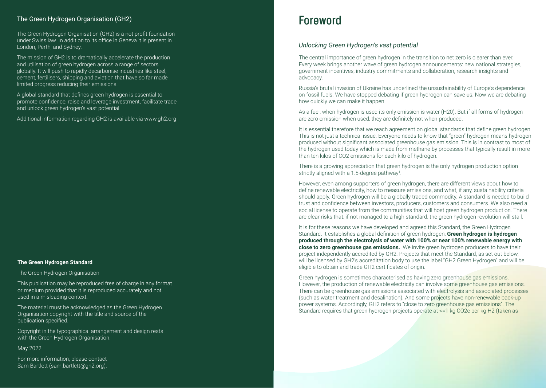#### The Green Hydrogen Organisation (GH2)

The Green Hydrogen Organisation (GH2) is a not profit foundation under Swiss law. In addition to its office in Geneva it is present in London, Perth, and Sydney.

The mission of GH2 is to dramatically accelerate the production and utilisation of green hydrogen across a range of sectors globally. It will push to rapidly decarbonise industries like steel, cement, fertilisers, shipping and aviation that have so far made limited progress reducing their emissions.

A global standard that defines green hydrogen is essential to promote confidence, raise and leverage investment, facilitate trade and unlock green hydrogen's vast potential.

Additional information regarding GH2 is available via www.gh2.org

#### **The Green Hydrogen Standard**

The Green Hydrogen Organisation

This publication may be reproduced free of charge in any format or medium provided that it is reproduced accurately and not used in a misleading context.

The material must be acknowledged as the Green Hydrogen Organisation copyright with the title and source of the publication specified.

Copyright in the typographical arrangement and design rests with the Green Hydrogen Organisation.

May 2022.

For more information, please contact Sam Bartlett (sam.bartlett@gh2.org).

### **Foreword**

#### *Unlocking Green Hydrogen's vast potential*

The central importance of green hydrogen in the transition to net zero is clearer than ever. Every week brings another wave of green hydrogen announcements: new national strategies, government incentives, industry commitments and collaboration, research insights and advocacy.

Russia's brutal invasion of Ukraine has underlined the unsustainability of Europe's dependence on fossil fuels. We have stopped debating if green hydrogen can save us. Now we are debating how quickly we can make it happen.

As a fuel, when hydrogen is used its only emission is water (H20). But if all forms of hydrogen are zero emission when used, they are definitely not when produced.

It is essential therefore that we reach agreement on global standards that define green hydrogen. This is not just a technical issue. Everyone needs to know that "green" hydrogen means hydrogen produced without significant associated greenhouse gas emission. This is in contrast to most of the hydrogen used today which is made from methane by processes that typically result in more than ten kilos of CO2 emissions for each kilo of hydrogen.

There is a growing appreciation that green hydrogen is the only hydrogen production option strictly aligned with a 1.5-degree pathway<sup>1</sup>.

However, even among supporters of green hydrogen, there are different views about how to define renewable electricity, how to measure emissions, and what, if any, sustainability criteria should apply. Green hydrogen will be a globally traded commodity. A standard is needed to build trust and confidence between investors, producers, customers and consumers. We also need a social license to operate from the communities that will host green hydrogen production. There are clear risks that, if not managed to a high standard, the green hydrogen revolution will stall.

It is for these reasons we have developed and agreed this Standard, the Green Hydrogen Standard. It establishes a global definition of green hydrogen: **Green hydrogen is hydrogen produced through the electrolysis of water with 100% or near 100% renewable energy with close to zero greenhouse gas emissions.** We invite green hydrogen producers to have their project independently accredited by GH2. Projects that meet the Standard, as set out below, will be licensed by GH2's accreditation body to use the label "GH2 Green Hydrogen" and will be eligible to obtain and trade GH2 certificates of origin.

Green hydrogen is sometimes characterised as having zero greenhouse gas emissions. However, the production of renewable electricity can involve some greenhouse gas emissions. There can be greenhouse gas emissions associated with electrolysis and associated processes (such as water treatment and desalination). And some projects have non-renewable back-up power systems. Accordingly, GH2 refers to "close to zero greenhouse gas emissions". The Standard requires that green hydrogen projects operate at <=1 kg CO2e per kg H2 (taken as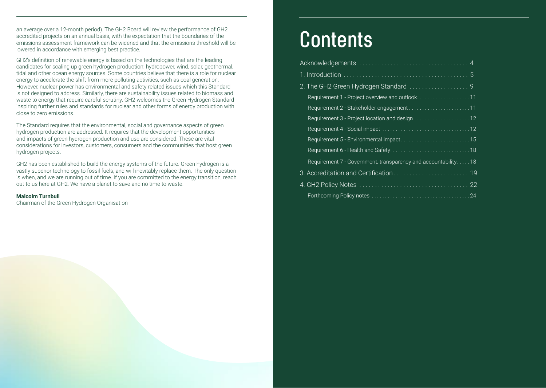an average over a 12-month period). The GH2 Board will review the performance of GH2 accredited projects on an annual basis, with the expectation that the boundaries of the emissions assessment framework can be widened and that the emissions threshold will be lowered in accordance with emerging best practice.

GH2's definition of renewable energy is based on the technologies that are the leading candidates for scaling up green hydrogen production: hydropower, wind, solar, geothermal, tidal and other ocean energy sources. Some countries believe that there is a role for nuclear energy to accelerate the shift from more polluting activities, such as coal generation. However, nuclear power has environmental and safety related issues which this Standard is not designed to address. Similarly, there are sustainability issues related to biomass and waste to energy that require careful scrutiny. GH2 welcomes the Green Hydrogen Standard inspiring further rules and standards for nuclear and other forms of energy production with close to zero emissions.

The Standard requires that the environmental, social and governance aspects of green hydrogen production are addressed. It requires that the development opportunities and impacts of green hydrogen production and use are considered. These are vital considerations for investors, customers, consumers and the communities that host green hydrogen projects.

GH2 has been established to build the energy systems of the future. Green hydrogen is a vastly superior technology to fossil fuels, and will inevitably replace them. The only question is when, and we are running out of time. If you are committed to the energy transition, reach out to us here at GH2. We have a planet to save and no time to waste.

#### **Malcolm Turnbull**

Chairman of the Green Hydrogen Organisation

# **Contents**

| Requirement 1 - Project overview and outlook11                |
|---------------------------------------------------------------|
|                                                               |
| Requirement 3 - Project location and design 12                |
|                                                               |
| Requirement 5 - Environmental impact15                        |
|                                                               |
| Requirement 7 - Government, transparency and accountability18 |
|                                                               |
|                                                               |
|                                                               |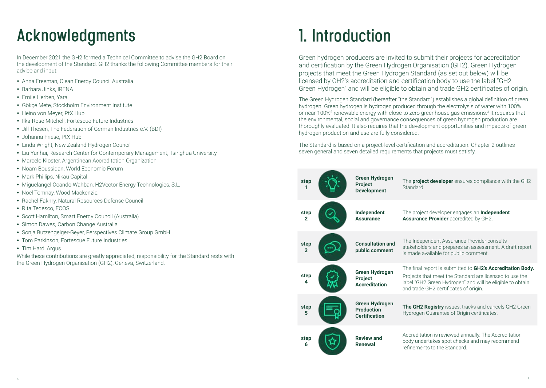### **Acknowledgments 1. Introduction**

In December 2021 the GH2 formed a Technical Committee to advise the GH2 Board on the development of the Standard. GH2 thanks the following Committee members for their advice and input:

- Anna Freeman, Clean Energy Council Australia.
- Barbara Jinks, IRENA
- Emile Herben, Yara
- Gökçe Mete, Stockholm Environment Institute
- Heino von Meyer, PtX Hub
- Ilka-Rose Mitchell, Fortescue Future Industries
- Jill Thesen, The Federation of German Industries e.V. (BDI)
- Johanna Friese, PtX Hub
- Linda Wright, New Zealand Hydrogen Council
- Liu Yunhui, Research Center for Contemporary Management, Tsinghua University
- Marcelo Kloster, Argentinean Accreditation Organization
- Noam Boussidan, World Economic Forum
- Mark Phillips, Nikau Capital
- Miguelangel Ocando Wahban, H2Vector Energy Technologies, S.L.
- Noel Tomnay, Wood Mackenzie.
- Rachel Fakhry, Natural Resources Defense Council
- y Rita Tedesco, ECOS
- Scott Hamilton, Smart Energy Council (Australia)
- Simon Dawes, Carbon Change Australia
- Sonja Butzengeiger-Geyer, Perspectives Climate Group GmbH
- Tom Parkinson, Fortescue Future Industries
- Tim Hard, Argus

While these contributions are greatly appreciated, responsibility for the Standard rests with the Green Hydrogen Organisation (GH2), Geneva, Switzerland.

Green hydrogen producers are invited to submit their projects for accreditation and certification by the Green Hydrogen Organisation (GH2). Green Hydrogen projects that meet the Green Hydrogen Standard (as set out below) will be licensed by GH2's accreditation and certification body to use the label "GH2 Green Hydrogen" and will be eligible to obtain and trade GH2 certificates of origin.

The Green Hydrogen Standard (hereafter "the Standard") establishes a global definition of green hydrogen. Green hydrogen is hydrogen produced through the electrolysis of water with 100% or near 100%<sup>2</sup> renewable energy with close to zero greenhouse gas emissions.<sup>3</sup> It requires that the environmental, social and governance consequences of green hydrogen production are thoroughly evaluated. It also requires that the development opportunities and impacts of green hydrogen production and use are fully considered.

The Standard is based on a project-level certification and accreditation. Chapter 2 outlines seven general and seven detailed requirements that projects must satisfy.

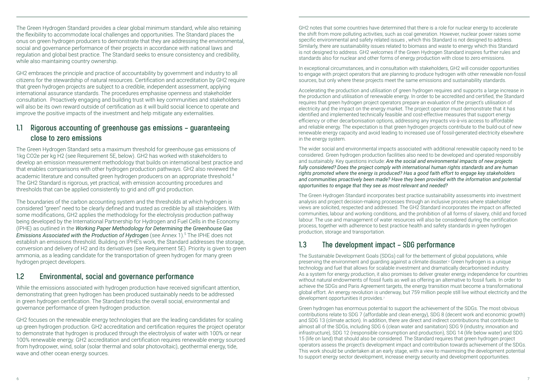The Green Hydrogen Standard provides a clear global minimum standard, while also retaining the flexibility to accommodate local challenges and opportunities. The Standard places the onus on green hydrogen producers to demonstrate that they are addressing the environmental, social and governance performance of their projects in accordance with national laws and regulation and global best practice. The Standard seeks to ensure consistency and credibility, while also maintaining country ownership.

GH2 embraces the principle and practice of accountability by government and industry to all citizens for the stewardship of natural resources. Certification and accreditation by GH2 require that green hydrogen projects are subject to a credible, independent assessment, applying international assurance standards. The procedures emphasise openness and stakeholder consultation. Proactively engaging and building trust with key communities and stakeholders will also be its own reward outside of certification as it will build social licence to operate and improve the positive impacts of the investment and help mitigate any externalities.

#### **1.1 Rigorous accounting of greenhouse gas emissions – guaranteeing close to zero emissions**

The Green Hydrogen Standard sets a maximum threshold for greenhouse gas emissions of 1kg CO2e per kg H2 (see Requirement 5E, below). GH2 has worked with stakeholders to develop an emission measurement methodology that builds on international best practice and that enables comparisons with other hydrogen production pathways. GH2 also reviewed the academic literature and consulted green hydrogen producers on an appropriate threshold.4 The GH2 Standard is rigorous, yet practical, with emission accounting procedures and thresholds that can be applied consistently to grid and off grid production.

The boundaries of the carbon accounting system and the thresholds at which hydrogen is considered "green" need to be clearly defined and trusted as credible by all stakeholders. With some modifications, GH2 applies the methodology for the electrolysis production pathway being developed by the International Partnership for Hydrogen and Fuel Cells in the Economy (IPHE) as outlined in the *Working Paper Methodology for Determining the Greenhouse Gas*  **Emissions Associated with the Production of Hydrogen** (see Annex 1).<sup>5</sup> The IPHE does not establish an emissions threshold. Building on IPHE's work, the Standard addresses the storage, conversion and delivery of H2 and its derivatives (see Requirement 5E). Priority is given to green ammonia, as a leading candidate for the transportation of green hydrogen for many green hydrogen project developers.

#### **1.2 Environmental, social and governance performance**

While the emissions associated with hydrogen production have received significant attention, demonstrating that green hydrogen has been produced sustainably needs to be addressed in green hydrogen certification. The Standard tracks the overall social, environmental and governance performance of green hydrogen production.

GH2 focuses on the renewable energy technologies that are the leading candidates for scaling up green hydrogen production. GH2 accreditation and certification requires the project operator to demonstrate that hydrogen is produced through the electrolysis of water with 100% or near 100% renewable energy. GH2 accreditation and certification requires renewable energy sourced from hydropower, wind, solar (solar thermal and solar photovoltaic), geothermal energy, tide, wave and other ocean energy sources.

GH2 notes that some countries have determined that there is a role for nuclear energy to accelerate the shift from more polluting activities, such as coal generation. However, nuclear power raises some specific environmental and safety related issues , which this Standard is not designed to address. Similarly, there are sustainability issues related to biomass and waste to energy which this Standard is not designed to address. GH2 welcomes if the Green Hydrogen Standard inspires further rules and standards also for nuclear and other forms of energy production with close to zero emissions.

In exceptional circumstances, and in consultation with stakeholders, GH2 will consider opportunities to engage with project operators that are planning to produce hydrogen with other renewable non-fossil sources, but only where these projects meet the same emissions and sustainability standards.

Accelerating the production and utilisation of green hydrogen requires and supports a large increase in the production and utilisation of renewable energy. In order to be accredited and certified, the Standard requires that green hydrogen project operators prepare an evaluation of the project's utilisation of electricity and the impact on the energy market. The project operator must demonstrate that it has identified and implemented technically feasible and cost-effective measures that support energy efficiency or other decarbonisation options, addressing any impacts vis-à-vis access to affordable and reliable energy. The expectation is that green hydrogen projects contribute to the build-out of new renewable energy capacity and avoid leading to increased use of fossil-generated electricity elsewhere in the energy system.

The wider social and environmental impacts associated with additional renewable capacity need to be considered. Green hydrogen production facilities also need to be developed and operated responsibly and sustainably. Key questions include: *Are the social and environmental impacts of new projects fully considered? Does the project comply with international human rights standards and are human rights promoted where the energy is produced? Has a good faith effort to engage key stakeholders and communities proactively been made? Have they been provided with the information and potential opportunities to engage that they see as most relevant and needed?*

The Green Hydrogen Standard incorporates best practice sustainability assessments into investment analysis and project decision-making processes through an inclusive process where stakeholder views are solicited, respected and addressed. The GH2 Standard incorporates the impact on affected communities, labour and working conditions, and the prohibition of all forms of slavery, child and forced labour. The use and management of water resources will also be considered during the certification process, together with adherence to best practice health and safety standards in green hydrogen production, storage and transportation.

#### **1.3 The development impact – SDG performance**

The Sustainable Development Goals (SDGs) call for the betterment of global populations, while preserving the environment and guarding against a climate disaster.<sup>6</sup> Green hydrogen is a unique technology and fuel that allows for scalable investment and dramatically decarbonised industry. As a system for energy production, it also promises to deliver greater energy independence for countries without natural endowments of fossil fuels as well as offering an alternative to fossil fuels. In order to achieve the SDGs and Paris Agreement targets, the energy transition must become a transformational global effort. An energy revolution is underway, but 759 million people still live without electricity and the development opportunities it provides.<sup>7</sup>

Green hydrogen has enormous potential to support the achievement of the SDGs. The most obvious contributions relate to SDG 7 (affordable and clean energy), SDG 8 (decent work and economic growth) and SDG 13 (climate action). In addition, there are direct and indirect contributions that contribute to almost all of the SDGs, including SDG 6 (clean water and sanitation) SDG 9 (industry, innovation and infrastructure), SDG 12 (responsible consumption and production), SDG 14 (life below water) and SDG 15 (life on land) that should also be considered. The Standard requires that green hydrogen project operators assess the project's development impact and contribution towards achievement of the SDGs. This work should be undertaken at an early stage, with a view to maximising the development potential to support energy sector development, increase energy security and development opportunities.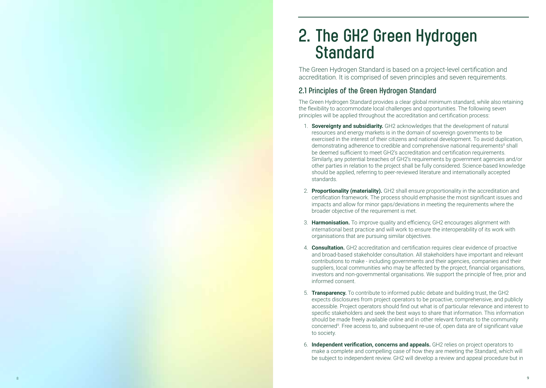### **2. The GH2 Green Hydrogen Standard**

The Green Hydrogen Standard is based on a project-level certification and accreditation. It is comprised of seven principles and seven requirements.

#### **2.1 Principles of the Green Hydrogen Standard**

The Green Hydrogen Standard provides a clear global minimum standard, while also retaining the flexibility to accommodate local challenges and opportunities. The following seven principles will be applied throughout the accreditation and certification process:

- 1. **Sovereignty and subsidiarity.** GH2 acknowledges that the development of natural resources and energy markets is in the domain of sovereign governments to be exercised in the interest of their citizens and national development. To avoid duplication, demonstrating adherence to credible and comprehensive national requirements<sup>8</sup> shall be deemed sufficient to meet GH2's accreditation and certification requirements. Similarly, any potential breaches of GH2's requirements by government agencies and/or other parties in relation to the project shall be fully considered. Science-based knowledge should be applied, referring to peer-reviewed literature and internationally accepted standards.
- 2. **Proportionality (materiality).** GH2 shall ensure proportionality in the accreditation and certification framework. The process should emphasise the most significant issues and impacts and allow for minor gaps/deviations in meeting the requirements where the broader objective of the requirement is met.
- 3. **Harmonisation.** To improve quality and efficiency, GH2 encourages alignment with international best practice and will work to ensure the interoperability of its work with organisations that are pursuing similar objectives.
- 4. **Consultation.** GH2 accreditation and certification requires clear evidence of proactive and broad-based stakeholder consultation. All stakeholders have important and relevant contributions to make - including governments and their agencies, companies and their suppliers, local communities who may be affected by the project, financial organisations, investors and non-governmental organisations. We support the principle of free, prior and informed consent.
- 5. **Transparency.** To contribute to informed public debate and building trust, the GH2 expects disclosures from project operators to be proactive, comprehensive, and publicly accessible. Project operators should find out what is of particular relevance and interest to specific stakeholders and seek the best ways to share that information. This information should be made freely available online and in other relevant formats to the community concerned 9 . Free access to, and subsequent re-use of, open data are of significant value to society.
- 6. **Independent verification, concerns and appeals.** GH2 relies on project operators to make a complete and compelling case of how they are meeting the Standard, which will be subject to independent review. GH2 will develop a review and appeal procedure but in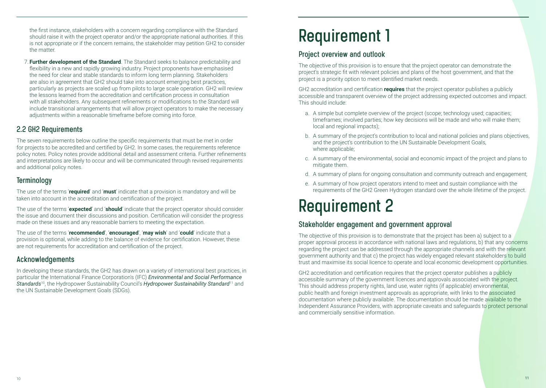the first instance, stakeholders with a concern regarding compliance with the Standard should raise it with the project operator and/or the appropriate national authorities. If this is not appropriate or if the concern remains, the stakeholder may petition GH2 to consider the matter.

7. **Further development of the Standard**. The Standard seeks to balance predictability and flexibility in a new and rapidly growing industry. Project proponents have emphasised the need for clear and stable standards to inform long term planning. Stakeholders are also in agreement that GH2 should take into account emerging best practices, particularly as projects are scaled up from pilots to large scale operation. GH2 will review the lessons learned from the accreditation and certification process in consultation with all stakeholders. Any subsequent refinements or modifications to the Standard will include transitional arrangements that will allow project operators to make the necessary adjustments within a reasonable timeframe before coming into force.

#### **2.2 GH2 Requirements**

The seven requirements below outline the specific requirements that must be met in order for projects to be accredited and certified by GH2. In some cases, the requirements reference policy notes. Policy notes provide additional detail and assessment criteria. Further refinements and interpretations are likely to occur and will be communicated through revised requirements and additional policy notes.

#### **Terminology**

The use of the terms '**required**' and '**must**' indicate that a provision is mandatory and will be taken into account in the accreditation and certification of the project.

The use of the terms '**expected**' and '**should**' indicate that the project operator should consider the issue and document their discussions and position. Certification will consider the progress made on these issues and any reasonable barriers to meeting the expectation.

The use of the terms '**recommended**', '**encouraged**', '**may wish**' and '**could**' indicate that a provision is optional, while adding to the balance of evidence for certification. However, these are not requirements for accreditation and certification of the project.

#### **Acknowledgements**

In developing these standards, the GH2 has drawn on a variety of international best practices, in particular the International Finance Corporation's (IFC) *Environmental and Social Performance Standards*10, the Hydropower Sustainability Council's *Hydropower Sustainability Standard*11 and the UN Sustainable Development Goals (SDGs).

## **Requirement 1**

#### **Project overview and outlook**

The objective of this provision is to ensure that the project operator can demonstrate the project's strategic fit with relevant policies and plans of the host government, and that the project is a priority option to meet identified market needs.

GH2 accreditation and certification **requires** that the project operator publishes a publicly accessible and transparent overview of the project addressing expected outcomes and impact. This should include:

- a. A simple but complete overview of the project (scope; technology used; capacities; timeframes; involved parties; how key decisions will be made and who will make them; local and regional impacts);
- b. A summary of the project's contribution to local and national policies and plans objectives, and the project's contribution to the UN Sustainable Development Goals, where applicable;
- c. A summary of the environmental, social and economic impact of the project and plans to mitigate them.
- d. A summary of plans for ongoing consultation and community outreach and engagement;
- e. A summary of how project operators intend to meet and sustain compliance with the requirements of the GH2 Green Hydrogen standard over the whole lifetime of the project.

### **Requirement 2**

#### **Stakeholder engagement and government approval**

The objective of this provision is to demonstrate that the project has been a) subject to a proper approval process in accordance with national laws and regulations, b) that any concerns regarding the project can be addressed through the appropriate channels and with the relevant government authority and that c) the project has widely engaged relevant stakeholders to build trust and maximise its social licence to operate and local economic development opportunities.

GH2 accreditation and certification requires that the project operator publishes a publicly accessible summary of the government licences and approvals associated with the project. This should address property rights, land use, water rights (if applicable) environmental, public health and foreign investment approvals as appropriate, with links to the associated documentation where publicly available. The documentation should be made available to the Independent Assurance Providers, with appropriate caveats and safeguards to protect personal and commercially sensitive information.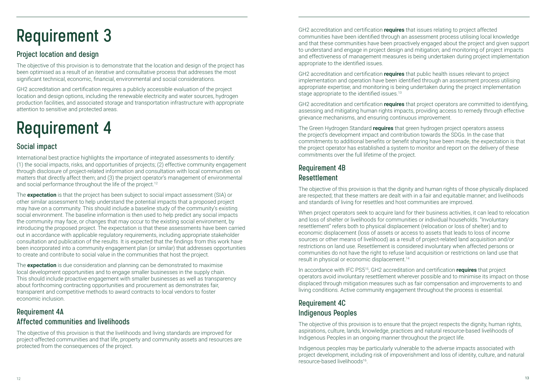### **Requirement 3**

#### **Project location and design**

The objective of this provision is to demonstrate that the location and design of the project has been optimised as a result of an iterative and consultative process that addresses the most significant technical, economic, financial, environmental and social considerations.

GH2 accreditation and certification requires a publicly accessible evaluation of the project location and design options, including the renewable electricity and water sources, hydrogen production facilities, and associated storage and transportation infrastructure with appropriate attention to sensitive and protected areas.

### **Requirement 4**

#### **Social impact**

International best practice highlights the importance of integrated assessments to identify: (1) the social impacts, risks, and opportunities of projects; (2) effective community engagement through disclosure of project-related information and consultation with local communities on matters that directly affect them; and (3) the project operator's management of environmental and social performance throughout the life of the project.<sup>12</sup>

The **expectation** is that the project has been subject to social impact assessment (SIA) or other similar assessment to help understand the potential impacts that a proposed project may have on a community. This should include a baseline study of the community's existing social environment. The baseline information is then used to help predict any social impacts the community may face, or changes that may occur to the existing social environment, by introducing the proposed project. The expectation is that these assessments have been carried out in accordance with applicable regulatory requirements, including appropriate stakeholder consultation and publication of the results. It is expected that the findings from this work have been incorporated into a community engagement plan (or similar) that addresses opportunities to create and contribute to social value in the communities that host the project.

The **expectation** is due consideration and planning can be demonstrated to maximise local development opportunities and to engage smaller businesses in the supply chain. This should include proactive engagement with smaller businesses as well as transparency about forthcoming contracting opportunities and procurement as demonstrates fair, transparent and competitive methods to award contracts to local vendors to foster economic inclusion.

#### **Requirement 4A Affected communities and livelihoods**

The objective of this provision is that the livelihoods and living standards are improved for project-affected communities and that life, property and community assets and resources are protected from the consequences of the project.

GH2 accreditation and certification **requires** that issues relating to project affected communities have been identified through an assessment process utilising local knowledge and that these communities have been proactively engaged about the project and given support to understand and engage in project design and mitigation; and monitoring of project impacts and effectiveness of management measures is being undertaken during project implementation appropriate to the identified issues.

GH2 accreditation and certification **requires** that public health issues relevant to project implementation and operation have been identified through an assessment process utilising appropriate expertise; and monitoring is being undertaken during the project implementation stage appropriate to the identified issues.<sup>13</sup>

GH2 accreditation and certification **requires** that project operators are committed to identifying, assessing and mitigating human rights impacts, providing access to remedy through effective grievance mechanisms, and ensuring continuous improvement.

The Green Hydrogen Standard **requires** that green hydrogen project operators assess the project's development impact and contribution towards the SDGs. In the case that commitments to additional benefits or benefit sharing have been made, the expectation is that the project operator has established a system to monitor and report on the delivery of these commitments over the full lifetime of the project.

#### **Requirement 4B Resettlement**

The objective of this provision is that the dignity and human rights of those physically displaced are respected; that these matters are dealt with in a fair and equitable manner; and livelihoods and standards of living for resettles and host communities are improved.

When project operators seek to acquire land for their business activities, it can lead to relocation and loss of shelter or livelihoods for communities or individual households. "Involuntary resettlement" refers both to physical displacement (relocation or loss of shelter) and to economic displacement (loss of assets or access to assets that leads to loss of income sources or other means of livelihood) as a result of project-related land acquisition and/or restrictions on land use. Resettlement is considered involuntary when affected persons or communities do not have the right to refuse land acquisition or restrictions on land use that result in physical or economic displacement.14

In accordance with IFC PS515, GH2 accreditation and certification **requires** that project operators avoid involuntary resettlement wherever possible and to minimise its impact on those displaced through mitigation measures such as fair compensation and improvements to and living conditions. Active community engagement throughout the process is essential.

#### **Requirement 4C Indigenous Peoples**

The objective of this provision is to ensure that the project respects the dignity, human rights, aspirations, culture, lands, knowledge, practices and natural resource-based livelihoods of Indigenous Peoples in an ongoing manner throughout the project life.

Indigenous peoples may be particularly vulnerable to the adverse impacts associated with project development, including risk of impoverishment and loss of identity, culture, and natural resource-based livelihoods16.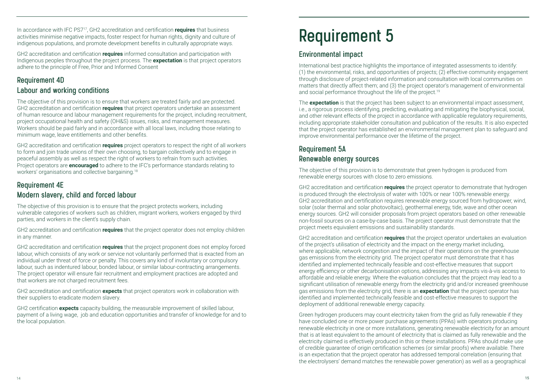In accordance with IFC PS717, GH2 accreditation and certification **requires** that business activities minimise negative impacts, foster respect for human rights, dignity and culture of indigenous populations, and promote development benefits in culturally appropriate ways.

GH2 accreditation and certification **requires** informed consultation and participation with Indigenous peoples throughout the project process. The **expectation** is that project operators adhere to the principle of Free, Prior and Informed Consent

#### **Requirement 4D Labour and working conditions**

The objective of this provision is to ensure that workers are treated fairly and are protected. GH2 accreditation and certification **requires** that project operators undertake an assessment of human resource and labour management requirements for the project, including recruitment, project occupational health and safety (OH&S) issues, risks, and management measures. Workers should be paid fairly and in accordance with all local laws, including those relating to minimum wage, leave entitlements and other benefits.

GH2 accreditation and certification **requires** project operators to respect the right of all workers to form and join trade unions of their own choosing, to bargain collectively and to engage in peaceful assembly as well as respect the right of workers to refrain from such activities. Project operators are **encouraged** to adhere to the IFC's performance standards relating to workers' organisations and collective bargaining.18

#### **Requirement 4E**

#### **Modern slavery, child and forced labour**

The objective of this provision is to ensure that the project protects workers, including vulnerable categories of workers such as children, migrant workers, workers engaged by third parties, and workers in the client's supply chain.

GH2 accreditation and certification **requires** that the project operator does not employ children in any manner.

GH2 accreditation and certification **requires** that the project proponent does not employ forced labour, which consists of any work or service not voluntarily performed that is exacted from an individual under threat of force or penalty. This covers any kind of involuntary or compulsory labour, such as indentured labour, bonded labour, or similar labour-contracting arrangements. The project operator will ensure fair recruitment and employment practices are adopted and that workers are not charged recruitment fees.

GH2 accreditation and certification **expects** that project operators work in collaboration with their suppliers to eradicate modern slavery.

GH2 certification **expects** capacity building, the measurable improvement of skilled labour, payment of a living wage, job and education opportunities and transfer of knowledge for and to the local population.

### **Requirement 5**

#### **Environmental impact**

International best practice highlights the importance of integrated assessments to identify: (1) the environmental, risks, and opportunities of projects; (2) effective community engagement through disclosure of project-related information and consultation with local communities on matters that directly affect them; and (3) the project operator's management of environmental and social performance throughout the life of the project.<sup>19</sup>

The **expectation** is that the project has been subject to an environmental impact assessment, i.e., a rigorous process identifying, predicting, evaluating and mitigating the biophysical, social, and other relevant effects of the project in accordance with applicable regulatory requirements, including appropriate stakeholder consultation and publication of the results. It is also expected that the project operator has established an environmental management plan to safeguard and improve environmental performance over the lifetime of the project.

#### **Requirement 5A Renewable energy sources**

The objective of this provision is to demonstrate that green hydrogen is produced from renewable energy sources with close to zero emissions.

GH2 accreditation and certification **requires** the project operator to demonstrate that hydrogen is produced through the electrolysis of water with 100% or near 100% renewable energy. GH2 accreditation and certification requires renewable energy sourced from hydropower, wind, solar (solar thermal and solar photovoltaic), geothermal energy, tide, wave and other ocean energy sources. GH2 will consider proposals from project operators based on other renewable non-fossil sources on a case-by-case basis. The project operator must demonstrate that the project meets equivalent emissions and sustainability standards.

GH2 accreditation and certification **requires** that the project operator undertakes an evaluation of the project's utilisation of electricity and the impact on the energy market including, where applicable, network congestion and the impact of their operations on the greenhouse gas emissions from the electricity grid. The project operator must demonstrate that it has identified and implemented technically feasible and cost-effective measures that support energy efficiency or other decarbonisation options, addressing any impacts vis-à-vis access to affordable and reliable energy. Where the evaluation concludes that the project may lead to a significant utilisation of renewable energy from the electricity grid and/or increased greenhouse gas emissions from the electricity grid, there is an **expectation** that the project operator has identified and implemented technically feasible and cost-effective measures to support the deployment of additional renewable energy capacity.

Green hydrogen producers may count electricity taken from the grid as fully renewable if they have concluded one or more power purchase agreements (PPAs) with operators producing renewable electricity in one or more installations, generating renewable electricity for an amount that is at least equivalent to the amount of electricity that is claimed as fully renewable and the electricity claimed is effectively produced in this or these installations. PPAs should make use of credible guarantee of origin certification schemes (or similar proofs) where available. There is an expectation that the project operator has addressed temporal correlation (ensuring that the electrolysers' demand matches the renewable power generation) as well as a geographical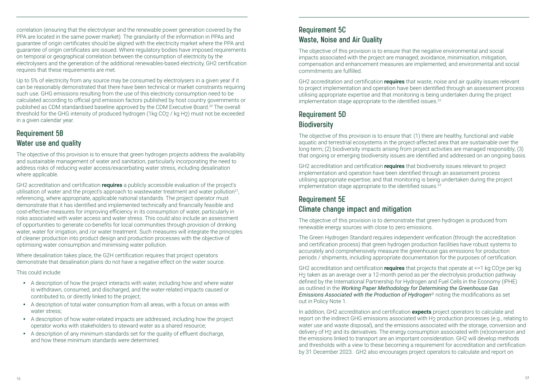correlation (ensuring that the electrolyser and the renewable power generation covered by the PPA are located in the same power market). The granularity of the information in PPAs and guarantee of origin certificates should be aligned with the electricity market where the PPA and guarantee of origin certificates are issued. Where regulatory bodies have imposed requirements on temporal or geographical correlation between the consumption of electricity by the electrolysers and the generation of the additional renewables-based electricity, GH2 certification requires that these requirements are met.

Up to 5% of electricity from any source may be consumed by electrolysers in a given year if it can be reasonably demonstrated that there have been technical or market constraints requiring such use. GHG emissions resulting from the use of this electricity consumption need to be calculated according to official grid emission factors published by host country governments or published as CDM standardised baseline approved by the CDM Executive Board.20 The overall threshold for the GHG intensity of produced hydrogen (1kg CO2 / kg H2) must not be exceeded in a given calendar year.

#### **Requirement 5B Water use and quality**

The objective of this provision is to ensure that green hydrogen projects address the availability and sustainable management of water and sanitation, particularly incorporating the need to address risks of reducing water access/exacerbating water stress, including desalination where applicable.

GH2 accreditation and certification **requires** a publicly accessible evaluation of the project's utilisation of water and the project's approach to wastewater treatment and water pollution<sup>21</sup>, referencing, where appropriate, applicable national standards. The project operator must demonstrate that it has identified and implemented technically and financially feasible and cost-effective measures for improving efficiency in its consumption of water, particularly in risks associated with water access and water stress. This could also include an assessment of opportunities to generate co-benefits for local communities through provision of drinking water, water for irrigation, and /or water treatment. Such measures will integrate the principles of cleaner production into product design and production processes with the objective of optimising water consumption and minimising water pollution.

Where desalination takes place, the G2H certification requires that project operators demonstrate that desalination plans do not have a negative effect on the water source.

This could include:

- A description of how the project interacts with water, including how and where water is withdrawn, consumed, and discharged, and the water-related impacts caused or contributed to, or directly linked to the project;
- A description of total water consumption from all areas, with a focus on areas with water stress;
- A description of how water-related impacts are addressed, including how the project operator works with stakeholders to steward water as a shared resource;
- A description of any minimum standards set for the quality of effluent discharge, and how these minimum standards were determined.

#### **Requirement 5C Waste, Noise and Air Quality**

The objective of this provision is to ensure that the negative environmental and social impacts associated with the project are managed; avoidance, minimisation, mitigation, compensation and enhancement measures are implemented; and environmental and social commitments are fulfilled.

GH2 accreditation and certification **requires** that waste, noise and air quality issues relevant to project implementation and operation have been identified through an assessment process utilising appropriate expertise and that monitoring is being undertaken during the project implementation stage appropriate to the identified issues.<sup>22</sup>

### **Requirement 5D Biodiversity**

The objective of this provision is to ensure that: (1) there are healthy, functional and viable aquatic and terrestrial ecosystems in the project-affected area that are sustainable over the long-term; (2) biodiversity impacts arising from project activities are managed responsibly; (3) that ongoing or emerging biodiversity issues are identified and addressed on an ongoing basis.

GH2 accreditation and certification **requires** that biodiversity issues relevant to project implementation and operation have been identified through an assessment process utilising appropriate expertise; and that monitoring is being undertaken during the project implementation stage appropriate to the identified issues.<sup>23</sup>

#### **Requirement 5E Climate change impact and mitigation**

The objective of this provision is to demonstrate that green hydrogen is produced from renewable energy sources with close to zero emissions.

The Green Hydrogen Standard requires independent verification (through the accreditation and certification process) that green hydrogen production facilities have robust systems to accurately and comprehensively measure the greenhouse gas emissions for production periods / shipments, including appropriate documentation for the purposes of certification.

GH2 accreditation and certification **requires** that projects that operate at <=1 kg CO2e per kg H2 taken as an average over a 12-month period as per the electrolysis production pathway defined by the International Partnership for Hydrogen and Fuel Cells in the Economy (IPHE) as outlined in the *Working Paper Methodology for Determining the Greenhouse Gas Emissions Associated with the Production of Hydrogen*@ noting the modifications as set out in Policy Note 1.

In addition, GH2 accreditation and certification **expects** project operators to calculate and report on the indirect GHG emissions associated with H<sub>2</sub> production processes (e.g., relating to water use and waste disposal), and the emissions associated with the storage, conversion and delivery of H2 and its derivatives. The energy consumption associated with (re)conversion and the emissions linked to transport are an important consideration. GH2 will develop methods and thresholds with a view to these becoming a requirement for accreditation and certification by 31 December 2023. GH2 also encourages project operators to calculate and report on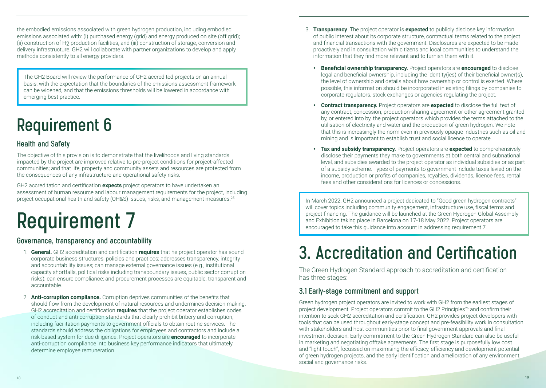the embodied emissions associated with green hydrogen production, including embodied emissions associated with: (i) purchased energy (grid) and energy produced on site (off grid); (ii) construction of H2 production facilities, and (iii) construction of storage, conversion and delivery infrastructure. GH2 will collaborate with partner organizations to develop and apply methods consistently to all energy providers.

The GH2 Board will review the performance of GH2 accredited projects on an annual basis, with the expectation that the boundaries of the emissions assessment framework can be widened, and that the emissions thresholds will be lowered in accordance with emerging best practice.

### **Requirement 6**

#### **Health and Safety**

The objective of this provision is to demonstrate that the livelihoods and living standards impacted by the project are improved relative to pre-project conditions for project-affected communities; and that life, property and community assets and resources are protected from the consequences of any infrastructure and operational safety risks.

GH2 accreditation and certification **expects** project operators to have undertaken an assessment of human resource and labour management requirements for the project, including project occupational health and safety (OH&S) issues, risks, and management measures.25

# **Requirement 7**

#### **Governance, transparency and accountability**

- 1. **General.** GH2 accreditation and certification **requires** that he project operator has sound corporate business structures, policies and practices; addresses transparency, integrity and accountability issues; can manage external governance issues (e.g., institutional capacity shortfalls, political risks including transboundary issues, public sector corruption risks); can ensure compliance; and procurement processes are equitable, transparent and accountable.
- 2. **Anti-corruption compliance.** Corruption deprives communities of the benefits that should flow from the development of natural resources and undermines decision making. GH2 accreditation and certification **requires** that the project operator establishes codes of conduct and anti-corruption standards that clearly prohibit bribery and corruption, including facilitation payments to government officials to obtain routine services. The standards should address the obligations for employees and contractors and include a risk-based system for due diligence. Project operators are **encouraged** to incorporate anti-corruption compliance into business key performance indicators that ultimately determine employee remuneration.
- 3. **Transparency**. The project operator is **expected** to publicly disclose key information of public interest about its corporate structure, contractual terms related to the project and financial transactions with the government. Disclosures are expected to be made proactively and in consultation with citizens and local communities to understand the information that they find more relevant and to furnish them with it.
	- y **Beneficial ownership transparency.** Project operators are **encouraged** to disclose legal and beneficial ownership, including the identity(ies) of their beneficial owner(s), the level of ownership and details about how ownership or control is exerted. Where possible, this information should be incorporated in existing filings by companies to corporate regulators, stock exchanges or agencies regulating the project.
	- **Contract transparency.** Project operators are **expected** to disclose the full text of any contract, concession, production-sharing agreement or other agreement granted by, or entered into by, the project operators which provides the terms attached to the utilisation of electricity and water and the production of green hydrogen. We note that this is increasingly the norm even in previously opaque industries such as oil and mining and is important to establish trust and social licence to operate.
	- y **Tax and subsidy transparency.** Project operators are **expected** to comprehensively disclose their payments they make to governments at both central and subnational level, and subsidies awarded to the project operator as individual subsidies or as part of a subsidy scheme. Types of payments to government include taxes levied on the income, production or profits of companies, royalties, dividends, licence fees, rental fees and other considerations for licences or concessions.

In March 2022, GH2 announced a project dedicated to "Good green hydrogen contracts" will cover topics including community engagement, infrastructure use, fiscal terms and project financing. The guidance will be launched at the Green Hydrogen Global Assembly and Exhibition taking place in Barcelona on 17-18 May 2022. Project operators are encouraged to take this guidance into account in addressing requirement 7.

### **3. Accreditation and Certification**

The Green Hydrogen Standard approach to accreditation and certification has three stages:

#### **3.1 Early-stage commitment and support**

Green hydrogen project operators are invited to work with GH2 from the earliest stages of project development. Project operators commit to the GH2 Principles<sup>26</sup> and confirm their intention to seek GH2 accreditation and certification. GH2 provides project developers with tools that can be used throughout early-stage concept and pre-feasibility work in consultation with stakeholders and host communities prior to final government approvals and final investment decision. Early commitment to the Green Hydrogen Standard can also be useful in marketing and negotiating offtake agreements. The first stage is purposefully low cost and "light touch", focussed on maximising the efficacy, efficiency and development potential of green hydrogen projects, and the early identification and amelioration of any environment, social and governance risks.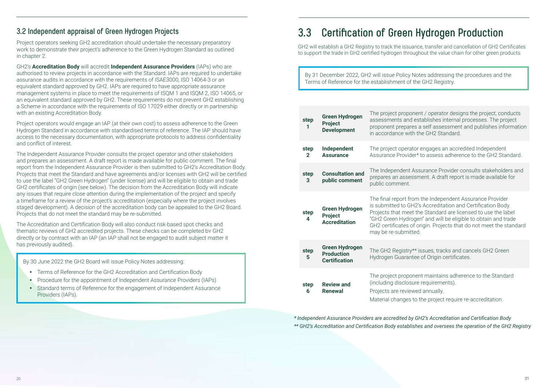Project operators seeking GH2 accreditation should undertake the necessary preparatory work to demonstrate their project's adherence to the Green Hydrogen Standard as outlined in chapter 2.

GH2's **Accreditation Body** will accredit **Independent Assurance Providers** (IAPs) who are authorised to review projects in accordance with the Standard. IAPs are required to undertake assurance audits in accordance with the requirements of ISAE3000, ISO 14064-3 or an equivalent standard approved by GH2. IAPs are required to have appropriate assurance management systems in place to meet the requirements of ISQM 1 and ISQM 2, ISO 14065, or an equivalent standard approved by GH2. These requirements do not prevent GH2 establishing a Scheme in accordance with the requirements of ISO 17029 either directly or in partnership with an existing Accreditation Body.

Project operators would engage an IAP (at their own cost) to assess adherence to the Green Hydrogen Standard in accordance with standardised terms of reference. The IAP should have access to the necessary documentation, with appropriate protocols to address confidentiality and conflict of interest.

The Independent Assurance Provider consults the project operator and other stakeholders and prepares an assessment. A draft report is made available for public comment. The final report from the Independent Assurance Provider is then submitted to GH2's Accreditation Body. Projects that meet the Standard and have agreements and/or licenses with GH2 will be certified to use the label "GH2 Green Hydrogen" (under license) and will be eligible to obtain and trade GH2 certificates of origin (see below). The decision from the Accreditation Body will indicate any issues that require close attention during the implementation of the project and specify a timeframe for a review of the project's accreditation (especially where the project involves staged development). A decision of the accreditation body can be appealed to the GH2 Board. Projects that do not meet the standard may be re-submitted.

The Accreditation and Certification Body will also conduct risk-based spot checks and thematic reviews of GH2 accredited projects. These checks can be completed bY GH2 directly or by contract with an IAP (an IAP shall not be engaged to audit subject matter it has previously audited).

By 30 June 2022 the GH2 Board will issue Policy Notes addressing:

- Terms of Reference for the GH2 Accreditation and Certification Body
- Procedure for the appointment of Independent Assurance Providers (IAPs)
- Standard terms of Reference for the engagement of Independent Assurance Providers (IAPs).

### **3.3 Certification of Green Hydrogen Production**

GH2 will establish a GH2 Registry to track the issuance, transfer and cancellation of GH2 Certificates to support the trade in GH2 certified hydrogen throughout the value chain for other green products.

By 31 December 2022, GH2 will issue Policy Notes addressing the procedures and the Terms of Reference for the establishment of the GH2 Registry.

| step<br>1                                                                                                            | <b>Green Hydrogen</b><br>Project<br><b>Development</b>                                                                                                                                                                                                                                                                                                                                                                     | The project proponent / operator designs the project, conducts<br>assessments and establishes internal processes. The project<br>proponent prepares a self assessment and publishes information<br>in accordance with the GH2 Standard. |  |  |
|----------------------------------------------------------------------------------------------------------------------|----------------------------------------------------------------------------------------------------------------------------------------------------------------------------------------------------------------------------------------------------------------------------------------------------------------------------------------------------------------------------------------------------------------------------|-----------------------------------------------------------------------------------------------------------------------------------------------------------------------------------------------------------------------------------------|--|--|
| step<br>$\mathbf{2}$                                                                                                 | Independent<br><b>Assurance</b>                                                                                                                                                                                                                                                                                                                                                                                            | The project operator engages an accredited Independent<br>Assurance Provider* to assess adherence to the GH2 Standard.                                                                                                                  |  |  |
| step<br>3                                                                                                            | <b>Consultation and</b><br>public comment                                                                                                                                                                                                                                                                                                                                                                                  | The Independent Assurance Provider consults stakeholders and<br>prepares an assessment. A draft report is made available for<br>public comment.                                                                                         |  |  |
| step<br>4                                                                                                            | The final report from the Independent Assurance Provider<br>is submitted to GH2's Accreditation and Certification Body.<br><b>Green Hydrogen</b><br>Projects that meet the Standard are licensed to use the label<br><b>Project</b><br>"GH2 Green Hydrogen" and will be eligible to obtain and trade<br><b>Accreditation</b><br>GH2 certificates of origin. Projects that do not meet the standard<br>may be re-submitted. |                                                                                                                                                                                                                                         |  |  |
| step<br>5                                                                                                            | <b>Green Hydrogen</b><br>The GH2 Registry** issues, tracks and cancels GH2 Green<br><b>Production</b><br>Hydrogen Guarantee of Origin certificates.<br><b>Certification</b>                                                                                                                                                                                                                                                |                                                                                                                                                                                                                                         |  |  |
| (including disclosure requirements).<br><b>Review and</b><br>step<br>Renewal<br>Projects are reviewed annually.<br>6 |                                                                                                                                                                                                                                                                                                                                                                                                                            | The project proponent maintains adherence to the Standard<br>Material changes to the project require re-accreditation.                                                                                                                  |  |  |

*\* Independent Assurance Providers are accredited by GH2's Accreditation and Certification Body \*\* GH2's Accreditation and Certification Body establishes and oversees the operation of the GH2 Registry*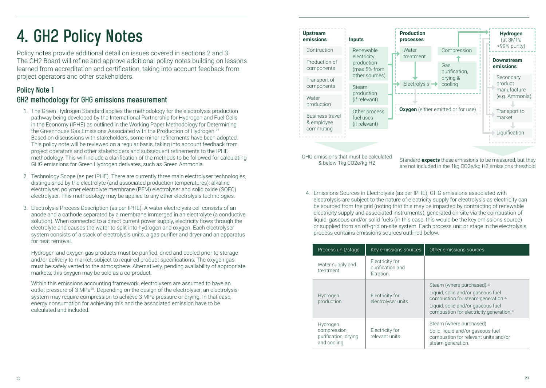### **4. GH2 Policy Notes**

Policy notes provide additional detail on issues covered in sections 2 and 3. The GH2 Board will refine and approve additional policy notes building on lessons learned from accreditation and certification, taking into account feedback from project operators and other stakeholders.

#### **Policy Note 1 GH2 methodology for GHG emissions measurement**

- 1. The Green Hydrogen Standard applies the methodology for the electrolysis production pathway being developed by the International Partnership for Hydrogen and Fuel Cells in the Economy (IPHE) as outlined in the Working Paper Methodology for Determining the Greenhouse Gas Emissions Associated with the Production of Hydrogen.<sup>27</sup> Based on discussions with stakeholders, some minor refinements have been adopted. This policy note will be reviewed on a regular basis, taking into account feedback from project operators and other stakeholders and subsequent refinements to the IPHE methodology. This will include a clarification of the methods to be followed for calculating GHG emissions for Green Hydrogen derivates, such as Green Ammonia.
- 2. Technology Scope (as per IPHE). There are currently three main electrolyser technologies, distinguished by the electrolyte (and associated production temperatures): alkaline electrolyser, polymer electrolyte membrane (PEM) electrolyser and solid oxide (SOEC) electrolyser. This methodology may be applied to any other electrolysis technologies.
- 3. Electrolysis Process Description (as per IPHE). A water electrolysis cell consists of an anode and a cathode separated by a membrane immerged in an electrolyte (a conductive solution). When connected to a direct current power supply, electricity flows through the electrolyte and causes the water to split into hydrogen and oxygen. Each electrolyser system consists of a stack of electrolysis units, a gas purifier and dryer and an apparatus for heat removal.

Hydrogen and oxygen gas products must be purified, dried and cooled prior to storage and/or delivery to market, subject to required product specifications. The oxygen gas must be safely vented to the atmosphere. Alternatively, pending availability of appropriate markets, this oxygen may be sold as a co-product.

Within this emissions accounting framework, electrolysers are assumed to have an outlet pressure of 3 MPa28. Depending on the design of the electrolyser, an electrolysis system may require compression to achieve 3 MPa pressure or drying. In that case, energy consumption for achieving this and the associated emission have to be calculated and included.



GHG emissions that must be calculated

& below 1kg CO2e/kg H2 Standard **expects** these emissions to be measured, but they are not included in the 1kg CO2e/kg H2 emissions threshold

4. Emissions Sources in Electrolysis (as per IPHE). GHG emissions associated with electrolysis are subject to the nature of electricity supply for electrolysis as electricity can be sourced from the grid (noting that this may be impacted by contracting of renewable electricity supply and associated instruments), generated on-site via the combustion of liquid, gaseous and/or solid fuels (in this case, this would be the key emissions source) or supplied from an off-grid on-site system. Each process unit or stage in the electrolysis process contains emissions sources outlined below.

| Process unit/stage                                              | Key emissions sources                              | Other emissions sources                                                                                                                                                                                                    |
|-----------------------------------------------------------------|----------------------------------------------------|----------------------------------------------------------------------------------------------------------------------------------------------------------------------------------------------------------------------------|
| Water supply and<br>treatment                                   | Electricity for<br>purification and<br>filtration. |                                                                                                                                                                                                                            |
| Hydrogen<br>production                                          | Electricity for<br>electrolyser units              | Steam (where purchased). <sup>29</sup><br>Liquid, solid and/or gaseous fuel<br>combustion for steam generation. <sup>30</sup><br>Liquid, solid and/or gaseous fuel<br>combustion for electricity generation. <sup>31</sup> |
| Hydrogen<br>compression,<br>purification, drying<br>and cooling | Electricity for<br>relevant units                  | Steam (where purchased)<br>Solid, liquid and/or gaseous fuel<br>combustion for relevant units and/or<br>steam generation.                                                                                                  |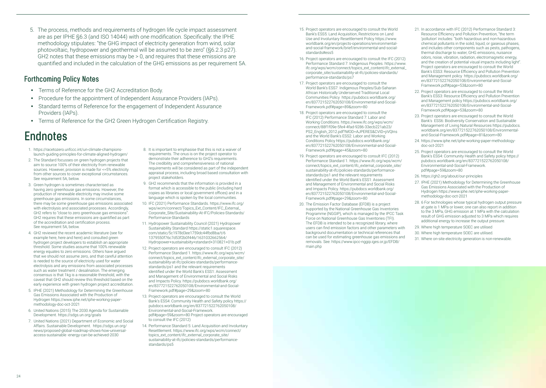are as per IPHE §6.3 (and ISO 14044) with one modification. Specifically: the IPHE methodology stipulates: "the GHG impact of electricity generation from wind, solar photovoltaic, hydropower and geothermal will be assumed to be zero" (§6.2.3 p27). GH2 notes that these emissions may be > 0, and requires that these emissions are quantified and included in the calculation of the GHG emissions as per requirement 5A.

5. The process, methods and requirements of hydrogen life cycle impact assessment

#### **Forthcoming Policy Notes**

- Terms of Reference for the GH2 Accreditation Body.
- Procedure for the appointment of Independent Assurance Providers (IAPs).
- Standard terms of Reference for the engagement of Independent Assurance Providers (IAPs).
- Terms of Reference for the GH2 Green Hydrogen Certification Registry.

### **Endnotes**

- 1. https://racetozero.unfccc.int/un-climate-championslaunch-guiding-principles-for-climate-aligned-hydrogen/
- 2. The Standard focusses on green hydrogen projects that aim to source 100% of their electricity from renewable sources. However, provision is made for <=5% electricity from other sources to cover exceptional circumstances. See requirement 5A, below.
- 3. Green hydrogen is sometimes characterised as having zero greenhouse gas emissions. However, the production of renewable electricity may involve some greenhouse gas emissions. In some circumstances, there may be some greenhouse gas emissions associated with electrolysis and associated processes. Accordingly, GH2 refers to "close to zero greenhouse gas emissions". GH2 requires that these emissions are quantified as part of the accreditation and certification process. See requirement 5A, below.
- 4. GH2 reviewed the recent academic literature (see for example here, here and here) and consulted green hydrogen project developers to establish an appropriate threshold. Some studies assume that 100% renewable energy equates to zero emissions. Others have argued that we should not assume zero, and that careful attention is needed to the source of electricity used for water electrolysis and any emissions from associated processes such as water treatment / desalination. The emerging consensus is that 1kg is a reasonable threshold, with the caveat that GH2 should review this threshold based on the early experience with green hydrogen project accreditation.
- 5. IPHE (2021) Methodology for Determining the Greenhouse Gas Emissions Associated with the Production of Hydrogen https://www.iphe.net/iphe-working-papermethodology-doc-oct-2021
- 6. United Nations (2015) The 2030 Agenda for Sustainable Development. https://sdgs.un.org/goals
- 7. United Nations (2021) Department of Economic and Social Affairs. Sustainable Development. https://sdgs.un.org/ news/proposed-global-roadmap-shows-how-universalaccess-sustainable -energy-can-be-achieved-2030
- 8. It is important to emphasise that this is not a waiver of requirements. The onus is on the project operator to demonstrate their adherence to GH2's requirements. The credibility and comprehensiveness of national requirements will be considered as part of the independent appraisal process, including broad based consultation with project stakeholders.
- 9. GH2 recommends that the information is provided in a format which is accessible to the public (including hard copies as libraries or local government offices) and in a language which is spoken by the local communities.
- 10. IFC (2021) Performance Standards. https://www.ifc.org/ wps/wcm/connect/Topics\_Ext\_Content/IFC\_External\_ Corporate\_Site/Sustainability-At-IFC/Policies-Standards/ Performance-Standards
- 11. Hydropower Sustainability Council (2021) Hydropower Sustainability Standard https://static1.squarespace. com/static/5c1978d3ee1759dc44fbd8ba/t/6 1379550f76c7d53f2b0f446/1631032662564/ Hydropower+sustainabiity+standard+310821+01b.pdf
- 12. Project operators are encouraged to consult IFC (2012) Performance Standard 1. https://www.ifc.org/wps/wcm/ connect/topics\_ext\_content/ifc\_external\_corporate\_site/ sustainability-at-ifc/policies-standards/performancestandards/ps1 and the relevant requirements identified under the World Bank's ESS1: Assessment and Management of Environmental and Social Risks and Impacts Policy. https://pubdocs.worldbank.org/ en/837721522762050108/Environmental-and-Social-Framework.pdf#page=29&zoom=80
- 13. Project operators are encouraged to consult the World Bank's ESS4: Community Health and Safety policy https:// pubdocs.worldbank.org/en/837721522762050108/ Environmental-and-Social-Framework. pdf#page=59&zoom=80 Project operators are encouraged to consult the IFC (2012)
- 14. Performance Standard 5: Land Acquisition and Involuntary Resettlement. https://www.ifc.org/wps/wcm/connect/ topics\_ext\_content/ifc\_external\_corporate\_site/ sustainability-at-ifc/policies-standards/performancestandards/ps5
- 15. Project operators are encouraged to consult the World Bank's ESS5: Land Acquisition, Restrictions on Land Use and Involuntary Resettlement Policy https://www. worldbank.org/en/projects-operations/environmentaland-social-framework/brief/environmental-and-socialstandards#ess5
- 16. Project operators are encouraged to consult the IFC (2012) Performance Standard 7: Indigenous Peoples. https://www. ifc.org/wps/wcm/connect/topics\_ext\_content/ifc\_external\_ corporate\_site/sustainability-at-ifc/policies-standards/ performance-standards/ps7
- 17. Project operators are encouraged to consult the World Bank's ESS7: Indigenous Peoples/Sub-Saharan African Historically Underserved Traditional Local Communities Policy https://pubdocs.worldbank.org/ en/837721522762050108/Environmental-and-Social-Framework.pdf#page=89&zoom=80
- 18. Project operators are encouraged to consult the IFC (2012) Performance Standard 7: Labor and Working Conditions. https://www.ifc.org/wps/wcm/ connect/88f1f09e-5fe4-4fad-9286-33ecb221ab23/ PS2\_English\_2012.pdf?MOD=AJPERES&CVID=jiVQIns and the World Bank's ESS2: Labor and Working Conditions Policy https://pubdocs.worldbank.org/ en/837721522762050108/Environmental-and-Social-Framework.pdf#page=45&zoom=80
- 19. Project operators are encouraged to consult IFC (2012) Performance Standard 1. https://www.ifc.org/wps/wcm/ connect/topics\_ext\_content/ifc\_external\_corporate\_site/ sustainability-at-ifc/policies-standards/performancestandards/ps1 and the relevant requirements identified under the World Bank's ESS1: Assessment and Management of Environmental and Social Risks and Impacts Policy. https://pubdocs.worldbank.org/ en/837721522762050108/Environmental-and-Social-Framework.pdf#page=29&zoom=80
- 20. The Emission Factor Database (EFDB) is a project supported by the National Greenhouse Gas Inventories Programme (NGGIP), which is managed by the IPCC Task Force on National Greenhouse Gas Inventories (TFI). The EFDB is intended to be a recognized library, where users can find emission factors and other parameters with background documentation or technical references that can be used for estimating greenhouse gas emissions and removals. See: https://www.ipcc-nggip.iges.or.jp/EFDB/ main.php
- 21. In accordance with IFC (2012) Performance Standard 3: Resource Efficiency and Pollution Prevention, "the term 'pollution' includes: "both hazardous and non-hazardous chemical pollutants in the solid, liquid, or gaseous phases, and includes other components such as pests, pathogens thermal discharge to water, GHG emissions, nuisance odors, noise, vibration, radiation, electromagnetic energy, and the creation of potential visual impacts including light". Project operators are encouraged to consult the World Bank's ESS3: Resource Efficiency and Pollution Prevention and Management policy https://pubdocs.worldbank.org/ en/837721522762050108/Environmental-and-Social-Framework.pdf#page=53&zoom=80
- 22. Project operators are encouraged to consult the World Bank's ESS3: Resource Efficiency and Pollution Prevention and Management policy https://pubdocs.worldbank.org/ en/837721522762050108/Environmental-and-Social-Framework.pdf#page=53&zoom=80
- 23. Project operators are encouraged to consult the World Bank's ESS6: Biodiversity Conservation and Sustainable Management of Living Natural Resources https://pubdocs. worldbank.org/en/837721522762050108/Environmentaland-Social-Framework.pdf#page=81&zoom=80
- 24. https://www.iphe.net/iphe-working-paper-methodologydoc-oct-2021
- 25. Project operators are encouraged to consult the World Bank's ESS4: Community Health and Safety policy https:// pubdocs.worldbank.org/en/837721522762050108/ Environmental-and-Social-Framework. pdf#page=59&zoom=80
- 26. https://gh2.org/about/our-principles
- 27. IPHE (2021) Methodology for Determining the Greenhouse Gas Emissions Associated with the Production of Hydrogen https://www.iphe.net/iphe-working-papermethodology-doc-oct-2021
- 28. 6 For technologies whose typical hydrogen output pressure at gate is 1 MPa or lower, one can also report in addition to the 3 MPa, GHG emission at 1 MPa with the calculation result of GHG emission adjusted to 3 MPa which requires additional energy to increase the output pressure.
- 29. Where high temperature SOEC are utilised
- 30. Where high temperature SOEC are utilised.
- 31. Where on-site electricity generation is non-renewable.